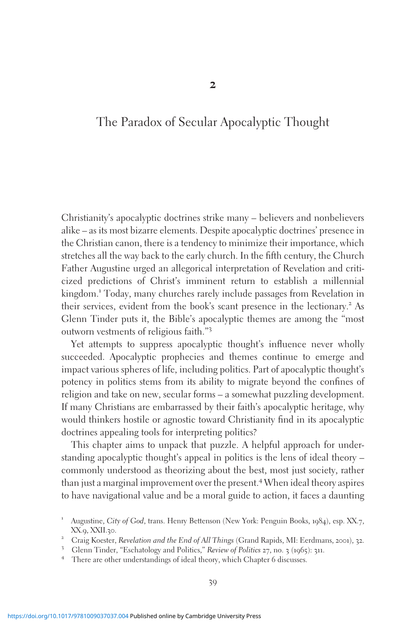# The Paradox of Secular Apocalyptic Thought

Christianity's apocalyptic doctrines strike many – believers and nonbelievers alike – as its most bizarre elements. Despite apocalyptic doctrines' presence in the Christian canon, there is a tendency to minimize their importance, which stretches all the way back to the early church. In the fifth century, the Church Father Augustine urged an allegorical interpretation of Revelation and criticized predictions of Christ's imminent return to establish a millennial kingdom.<sup>1</sup> Today, many churches rarely include passages from Revelation in their services, evident from the book's scant presence in the lectionary.<sup>2</sup> As Glenn Tinder puts it, the Bible's apocalyptic themes are among the "most outworn vestments of religious faith."<sup>3</sup>

Yet attempts to suppress apocalyptic thought's influence never wholly succeeded. Apocalyptic prophecies and themes continue to emerge and impact various spheres of life, including politics. Part of apocalyptic thought's potency in politics stems from its ability to migrate beyond the confines of religion and take on new, secular forms – a somewhat puzzling development. If many Christians are embarrassed by their faith's apocalyptic heritage, why would thinkers hostile or agnostic toward Christianity find in its apocalyptic doctrines appealing tools for interpreting politics?

This chapter aims to unpack that puzzle. A helpful approach for understanding apocalyptic thought's appeal in politics is the lens of ideal theory – commonly understood as theorizing about the best, most just society, rather than just a marginal improvement over the present.<sup>4</sup> When ideal theory aspires to have navigational value and be a moral guide to action, it faces a daunting

<sup>&</sup>lt;sup>1</sup> Augustine, City of God, trans. Henry Bettenson (New York: Penguin Books, 1984), esp. XX.7, XX.9, XXII.30.<br>
<sup>2</sup> Craig Koester, *Revelation and the End of All Things* (Grand Rapids, MI: Eerdmans, 2001), 32.<br>
<sup>3</sup> Glenn Tinder, "Eschatology and Politics," *Review of Politics* 27, no. 3 (1965): 311.<br>
<sup>4</sup> There are ot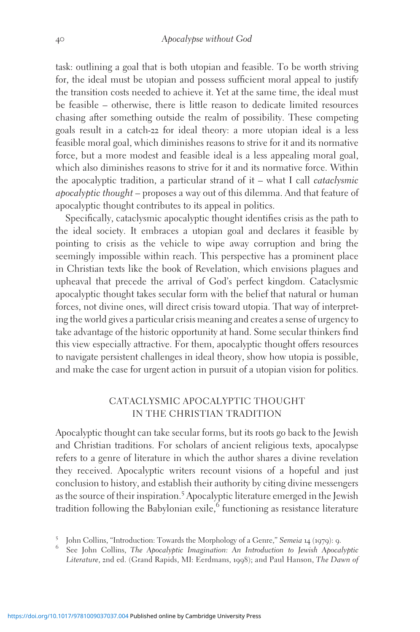task: outlining a goal that is both utopian and feasible. To be worth striving for, the ideal must be utopian and possess sufficient moral appeal to justify the transition costs needed to achieve it. Yet at the same time, the ideal must be feasible – otherwise, there is little reason to dedicate limited resources chasing after something outside the realm of possibility. These competing goals result in a catch-22 for ideal theory: a more utopian ideal is a less feasible moral goal, which diminishes reasons to strive for it and its normative force, but a more modest and feasible ideal is a less appealing moral goal, which also diminishes reasons to strive for it and its normative force. Within the apocalyptic tradition, a particular strand of it – what I call *cataclysmic* apocalyptic thought – proposes a way out of this dilemma. And that feature of apocalyptic thought contributes to its appeal in politics.

Specifically, cataclysmic apocalyptic thought identifies crisis as the path to the ideal society. It embraces a utopian goal and declares it feasible by pointing to crisis as the vehicle to wipe away corruption and bring the seemingly impossible within reach. This perspective has a prominent place in Christian texts like the book of Revelation, which envisions plagues and upheaval that precede the arrival of God's perfect kingdom. Cataclysmic apocalyptic thought takes secular form with the belief that natural or human forces, not divine ones, will direct crisis toward utopia. That way of interpreting the world gives a particular crisis meaning and creates a sense of urgency to take advantage of the historic opportunity at hand. Some secular thinkers find this view especially attractive. For them, apocalyptic thought offers resources to navigate persistent challenges in ideal theory, show how utopia is possible, and make the case for urgent action in pursuit of a utopian vision for politics.

## CATACLYSMIC APOCALYPTIC THOUGHT IN THE CHRISTIAN TRADITION

Apocalyptic thought can take secular forms, but its roots go back to the Jewish and Christian traditions. For scholars of ancient religious texts, apocalypse refers to a genre of literature in which the author shares a divine revelation they received. Apocalyptic writers recount visions of a hopeful and just conclusion to history, and establish their authority by citing divine messengers as the source of their inspiration.<sup>5</sup> Apocalyptic literature emerged in the Jewish tradition following the Babylonian exile,<sup>6</sup> functioning as resistance literature

<sup>5</sup> John Collins, "Introduction: Towards the Morphology of a Genre," Semeia 14 (1979): 9. <br><sup>6</sup> See John Collins, *The Apocalyptic Imagination: An Introduction to Jewish Apocalyptic* Literature, 2nd ed. (Grand Rapids, MI: Eerdmans, 1998); and Paul Hanson, The Dawn of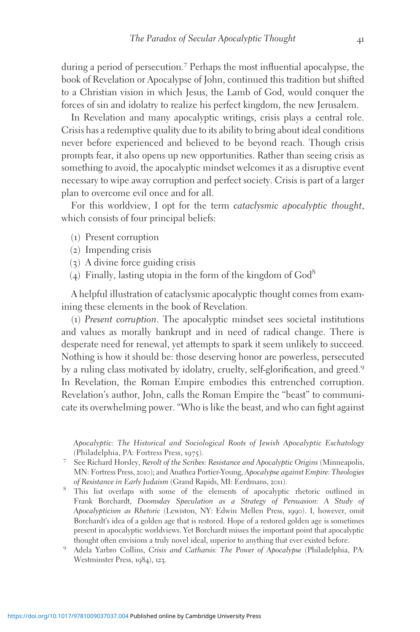during a period of persecution.<sup>7</sup> Perhaps the most influential apocalypse, the book of Revelation or Apocalypse of John, continued this tradition but shifted to a Christian vision in which Jesus, the Lamb of God, would conquer the forces of sin and idolatry to realize his perfect kingdom, the new Jerusalem.

In Revelation and many apocalyptic writings, crisis plays a central role. Crisis has a redemptive quality due to its ability to bring about ideal conditions never before experienced and believed to be beyond reach. Though crisis prompts fear, it also opens up new opportunities. Rather than seeing crisis as something to avoid, the apocalyptic mindset welcomes it as a disruptive event necessary to wipe away corruption and perfect society. Crisis is part of a larger plan to overcome evil once and for all.

For this worldview, I opt for the term cataclysmic apocalyptic thought, which consists of four principal beliefs:

- (1) Present corruption
- (2) Impending crisis
- (3) A divine force guiding crisis
- (4) Finally, lasting utopia in the form of the kingdom of  $God^8$

A helpful illustration of cataclysmic apocalyptic thought comes from examining these elements in the book of Revelation.

(1) Present corruption. The apocalyptic mindset sees societal institutions and values as morally bankrupt and in need of radical change. There is desperate need for renewal, yet attempts to spark it seem unlikely to succeed. Nothing is how it should be: those deserving honor are powerless, persecuted by a ruling class motivated by idolatry, cruelty, self-glorification, and greed.<sup>9</sup> In Revelation, the Roman Empire embodies this entrenched corruption. Revelation's author, John, calls the Roman Empire the "beast" to communicate its overwhelming power. "Who is like the beast, and who can fight against

Apocalyptic: The Historical and Sociological Roots of Jewish Apocalyptic Eschatology (Philadelphia, PA: Fortress Press, 1975).<br><sup>7</sup> See Richard Horsley, *Revolt of the Scribes: Resistance and Apocalyptic Origins* (Minneapolis,

- MN: Fortress Press, 2010); and Anathea Portier-Young, Apocalypse against Empire: Theologies
- of Resistance in Early Judaism (Grand Rapids, MI: Eerdmans, <sup>2011</sup>). <sup>8</sup> This list overlaps with some of the elements of apocalyptic rhetoric outlined in Frank Borchardt, Doomsday Speculation as a Strategy of Persuasion: A Study of Apocalypticism as Rhetoric (Lewiston, NY: Edwin Mellen Press, 1990). I, however, omit Borchardt's idea of a golden age that is restored. Hope of a restored golden age is sometimes present in apocalyptic worldviews. Yet Borchardt misses the important point that apocalyptic
- thought often envisions a truly novel ideal, superior to anything that ever existed before. <sup>9</sup> Adela Yarbro Collins, Crisis and Catharsis: The Power of Apocalypse (Philadelphia, PA: Westminster Press, 1984), 123.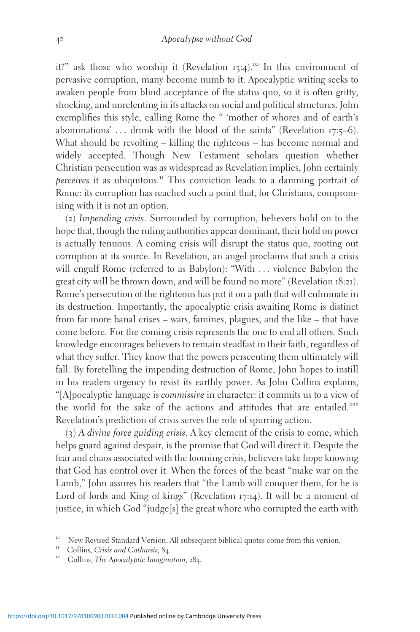it?" ask those who worship it (Revelation 13:4).<sup>10</sup> In this environment of pervasive corruption, many become numb to it. Apocalyptic writing seeks to awaken people from blind acceptance of the status quo, so it is often gritty, shocking, and unrelenting in its attacks on social and political structures. John exemplifies this style, calling Rome the " 'mother of whores and of earth's abominations'  $\dots$  drunk with the blood of the saints" (Revelation 17:5–6). What should be revolting – killing the righteous – has become normal and widely accepted. Though New Testament scholars question whether Christian persecution was as widespread as Revelation implies, John certainly perceives it as ubiquitous.<sup>11</sup> This conviction leads to a damning portrait of Rome: its corruption has reached such a point that, for Christians, compromising with it is not an option.

(2) Impending crisis. Surrounded by corruption, believers hold on to the hope that, though the ruling authorities appear dominant, their hold on power is actually tenuous. A coming crisis will disrupt the status quo, rooting out corruption at its source. In Revelation, an angel proclaims that such a crisis will engulf Rome (referred to as Babylon): "With ... violence Babylon the great city will be thrown down, and will be found no more" (Revelation 18:21). Rome's persecution of the righteous has put it on a path that will culminate in its destruction. Importantly, the apocalyptic crisis awaiting Rome is distinct from far more banal crises – wars, famines, plagues, and the like – that have come before. For the coming crisis represents the one to end all others. Such knowledge encourages believers to remain steadfast in their faith, regardless of what they suffer. They know that the powers persecuting them ultimately will fall. By foretelling the impending destruction of Rome, John hopes to instill in his readers urgency to resist its earthly power. As John Collins explains, "[A]pocalyptic language is commissive in character: it commits us to a view of the world for the sake of the actions and attitudes that are entailed."<sup>12</sup> Revelation's prediction of crisis serves the role of spurring action.

(3) A divine force guiding crisis. A key element of the crisis to come, which helps guard against despair, is the promise that God will direct it. Despite the fear and chaos associated with the looming crisis, believers take hope knowing that God has control over it. When the forces of the beast "make war on the Lamb," John assures his readers that "the Lamb will conquer them, for he is Lord of lords and King of kings" (Revelation 17:14). It will be a moment of justice, in which God "judge[s] the great whore who corrupted the earth with

<sup>&</sup>lt;sup>10</sup> New Revised Standard Version. All subsequent biblical quotes come from this version.<br><sup>11</sup> Collins, Crisis and Catharsis, 84.<br><sup>12</sup> Collins, The Apocalyptic Imagination, 283.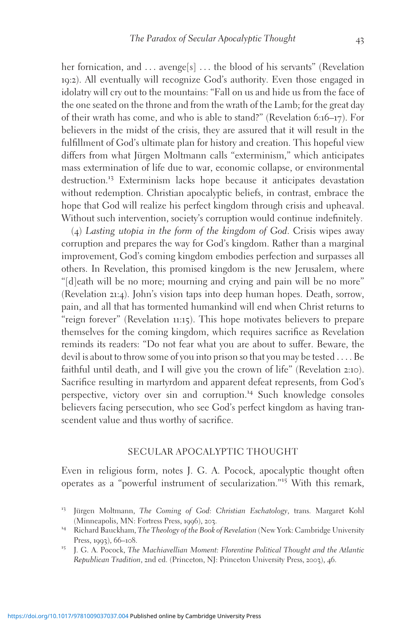her fornication, and ... avenge[s] ... the blood of his servants" (Revelation 19:2). All eventually will recognize God's authority. Even those engaged in idolatry will cry out to the mountains: "Fall on us and hide us from the face of the one seated on the throne and from the wrath of the Lamb; for the great day of their wrath has come, and who is able to stand?" (Revelation 6:16–17). For believers in the midst of the crisis, they are assured that it will result in the fulfillment of God's ultimate plan for history and creation. This hopeful view differs from what Jürgen Moltmann calls "exterminism," which anticipates mass extermination of life due to war, economic collapse, or environmental destruction.<sup>13</sup> Exterminism lacks hope because it anticipates devastation without redemption. Christian apocalyptic beliefs, in contrast, embrace the hope that God will realize his perfect kingdom through crisis and upheaval. Without such intervention, society's corruption would continue indefinitely.

(4) Lasting utopia in the form of the kingdom of God. Crisis wipes away corruption and prepares the way for God's kingdom. Rather than a marginal improvement, God's coming kingdom embodies perfection and surpasses all others. In Revelation, this promised kingdom is the new Jerusalem, where "[d]eath will be no more; mourning and crying and pain will be no more" (Revelation 21:4). John's vision taps into deep human hopes. Death, sorrow, pain, and all that has tormented humankind will end when Christ returns to "reign forever" (Revelation 11:15). This hope motivates believers to prepare themselves for the coming kingdom, which requires sacrifice as Revelation reminds its readers: "Do not fear what you are about to suffer. Beware, the devil is about to throw some of you into prison so that you may be tested ... . Be faithful until death, and I will give you the crown of life" (Revelation 2:10). Sacrifice resulting in martyrdom and apparent defeat represents, from God's perspective, victory over sin and corruption.<sup>14</sup> Such knowledge consoles believers facing persecution, who see God's perfect kingdom as having transcendent value and thus worthy of sacrifice.

## SECULAR APOCALYPTIC THOUGHT

Even in religious form, notes J. G. A. Pocock, apocalyptic thought often operates as a "powerful instrument of secularization."<sup>15</sup> With this remark,

<sup>&</sup>lt;sup>13</sup> Jürgen Moltmann, The Coming of God: Christian Eschatology, trans. Margaret Kohl (Minneapolis, MN: Fortress Press, 1996), 203.<br><sup>14</sup> Richard Bauckham, *The Theology of the Book of Revelation* (New York: Cambridge University

Press, <sup>1993</sup>), <sup>66</sup>–108. <sup>15</sup> J. G. A. Pocock, The Machiavellian Moment: Florentine Political Thought and the Atlantic

Republican Tradition, 2nd ed. (Princeton, NJ: Princeton University Press, 2003), 46.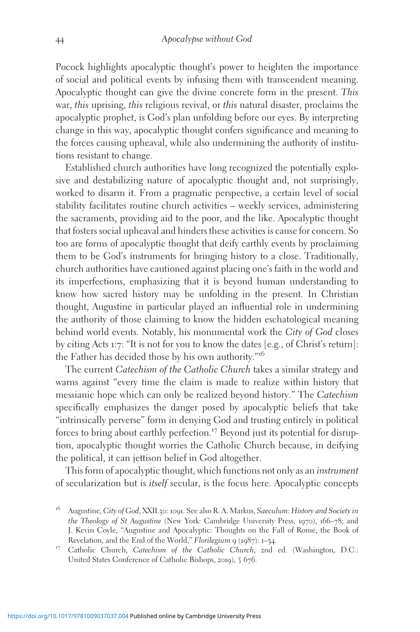Pocock highlights apocalyptic thought's power to heighten the importance of social and political events by infusing them with transcendent meaning. Apocalyptic thought can give the divine concrete form in the present. This war, this uprising, this religious revival, or this natural disaster, proclaims the apocalyptic prophet, is God's plan unfolding before our eyes. By interpreting change in this way, apocalyptic thought confers significance and meaning to the forces causing upheaval, while also undermining the authority of institutions resistant to change.

Established church authorities have long recognized the potentially explosive and destabilizing nature of apocalyptic thought and, not surprisingly, worked to disarm it. From a pragmatic perspective, a certain level of social stability facilitates routine church activities – weekly services, administering the sacraments, providing aid to the poor, and the like. Apocalyptic thought that fosters social upheaval and hinders these activities is cause for concern. So too are forms of apocalyptic thought that deify earthly events by proclaiming them to be God's instruments for bringing history to a close. Traditionally, church authorities have cautioned against placing one's faith in the world and its imperfections, emphasizing that it is beyond human understanding to know how sacred history may be unfolding in the present. In Christian thought, Augustine in particular played an influential role in undermining the authority of those claiming to know the hidden eschatological meaning behind world events. Notably, his monumental work the City of God closes by citing Acts 1:7: "It is not for you to know the dates [e.g., of Christ's return]: the Father has decided those by his own authority."<sup>16</sup>

The current Catechism of the Catholic Church takes a similar strategy and warns against "every time the claim is made to realize within history that messianic hope which can only be realized beyond history." The Catechism specifically emphasizes the danger posed by apocalyptic beliefs that take "intrinsically perverse" form in denying God and trusting entirely in political forces to bring about earthly perfection.<sup>17</sup> Beyond just its potential for disruption, apocalyptic thought worries the Catholic Church because, in deifying the political, it can jettison belief in God altogether.

This form of apocalyptic thought, which functions not only as an instrument of secularization but is itself secular, is the focus here. Apocalyptic concepts

<sup>16</sup> Augustine, City of God, XXII.30: <sup>1091</sup>. See also R. A. Markus, Saeculum: History and Society in the Theology of St Augustine (New York: Cambridge University Press, 1970), 166–78; and J. Kevin Coyle, "Augustine and Apocalyptic: Thoughts on the Fall of Rome, the Book of

<sup>&</sup>lt;sup>17</sup> Catholic Church, Catechism of the Catholic Church, 2nd ed. (Washington, D.C.: United States Conference of Catholic Bishops, 2019), § 676.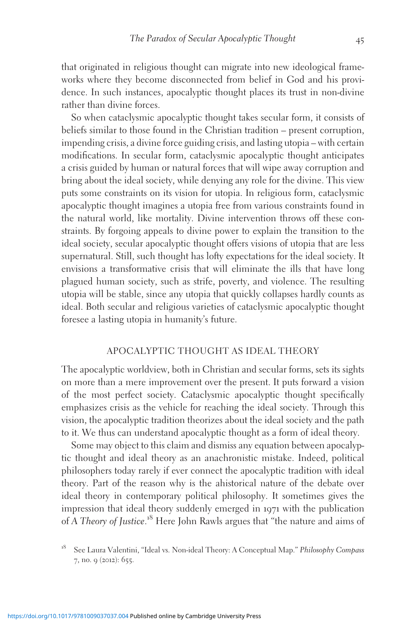that originated in religious thought can migrate into new ideological frameworks where they become disconnected from belief in God and his providence. In such instances, apocalyptic thought places its trust in non-divine rather than divine forces.

So when cataclysmic apocalyptic thought takes secular form, it consists of beliefs similar to those found in the Christian tradition – present corruption, impending crisis, a divine force guiding crisis, and lasting utopia – with certain modifications. In secular form, cataclysmic apocalyptic thought anticipates a crisis guided by human or natural forces that will wipe away corruption and bring about the ideal society, while denying any role for the divine. This view puts some constraints on its vision for utopia. In religious form, cataclysmic apocalyptic thought imagines a utopia free from various constraints found in the natural world, like mortality. Divine intervention throws off these constraints. By forgoing appeals to divine power to explain the transition to the ideal society, secular apocalyptic thought offers visions of utopia that are less supernatural. Still, such thought has lofty expectations for the ideal society. It envisions a transformative crisis that will eliminate the ills that have long plagued human society, such as strife, poverty, and violence. The resulting utopia will be stable, since any utopia that quickly collapses hardly counts as ideal. Both secular and religious varieties of cataclysmic apocalyptic thought foresee a lasting utopia in humanity's future.

## APOCALYPTIC THOUGHT AS IDEAL THEORY

The apocalyptic worldview, both in Christian and secular forms, sets its sights on more than a mere improvement over the present. It puts forward a vision of the most perfect society. Cataclysmic apocalyptic thought specifically emphasizes crisis as the vehicle for reaching the ideal society. Through this vision, the apocalyptic tradition theorizes about the ideal society and the path to it. We thus can understand apocalyptic thought as a form of ideal theory.

Some may object to this claim and dismiss any equation between apocalyptic thought and ideal theory as an anachronistic mistake. Indeed, political philosophers today rarely if ever connect the apocalyptic tradition with ideal theory. Part of the reason why is the ahistorical nature of the debate over ideal theory in contemporary political philosophy. It sometimes gives the impression that ideal theory suddenly emerged in 1971 with the publication of A Theory of Justice.<sup>18</sup> Here John Rawls argues that "the nature and aims of

See Laura Valentini, "Ideal vs. Non-ideal Theory: A Conceptual Map." Philosophy Compass 7, no. 9 (2012): 655.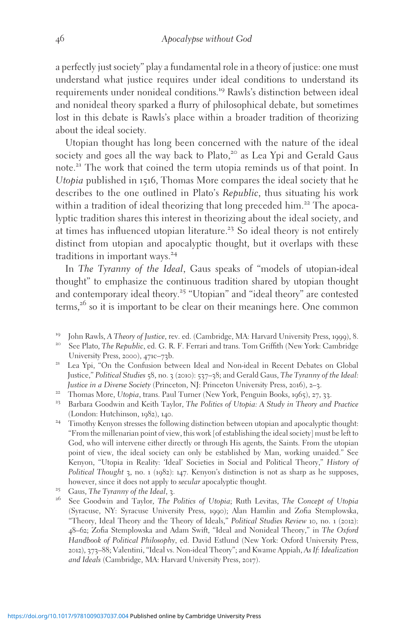a perfectly just society" play a fundamental role in a theory of justice: one must understand what justice requires under ideal conditions to understand its requirements under nonideal conditions.<sup>19</sup> Rawls's distinction between ideal and nonideal theory sparked a flurry of philosophical debate, but sometimes lost in this debate is Rawls's place within a broader tradition of theorizing about the ideal society.

Utopian thought has long been concerned with the nature of the ideal society and goes all the way back to Plato,<sup>20</sup> as Lea Ypi and Gerald Gaus note.<sup>21</sup> The work that coined the term utopia reminds us of that point. In Utopia published in 1516, Thomas More compares the ideal society that he describes to the one outlined in Plato's Republic, thus situating his work within a tradition of ideal theorizing that long preceded him.<sup>22</sup> The apocalyptic tradition shares this interest in theorizing about the ideal society, and at times has influenced utopian literature.<sup>23</sup> So ideal theory is not entirely distinct from utopian and apocalyptic thought, but it overlaps with these traditions in important ways.<sup>24</sup>

In The Tyranny of the Ideal, Gaus speaks of "models of utopian-ideal thought" to emphasize the continuous tradition shared by utopian thought and contemporary ideal theory.<sup>25</sup> "Utopian" and "ideal theory" are contested terms,<sup>26</sup> so it is important to be clear on their meanings here. One common

- <sup>19</sup> John Rawls, A Theory of Justice, rev. ed. (Cambridge, MA: Harvard University Press, 1999), 8.<br><sup>20</sup> See Plato, The Republic, ed. G. R. F. Ferrari and trans. Tom Griffith (New York: Cambridge
- University Press, 2000), 471c–73b.<br><sup>21</sup> Lea Ypi, "On the Confusion between Ideal and Non-ideal in Recent Debates on Global
- Justice," Political Studies 58, no. 3 (2010): 537–38; and Gerald Gaus, The Tyranny of the Ideal:
- <sup>22</sup> Thomas More, Utopia, trans. Paul Turner (New York, Penguin Books, 1965), 27, 33.<br><sup>23</sup> Barbara Goodwin and Keith Taylor, *The Politics of Utopia: A Study in Theory and Practice*
- (London: Hutchinson, <sup>1982</sup>), <sup>140</sup>. <sup>24</sup> Timothy Kenyon stresses the following distinction between utopian and apocalyptic thought:
- "From the millenarian point of view, this work [of establishing the ideal society] must be left to God, who will intervene either directly or through His agents, the Saints. From the utopian point of view, the ideal society can only be established by Man, working unaided." See Kenyon, "Utopia in Reality: 'Ideal' Societies in Social and Political Theory," History of Political Thought 3, no. 1 (1982): 147. Kenyon's distinction is not as sharp as he supposes, however, since it does not apply to *secular* apocalyptic thought.<br><sup>25</sup> Gaus, *The Tyranny of the Ideal*, 3.<br><sup>26</sup> See Goodwin and Taylor, *The Politics of Utopia*; Ruth Levitas, *The Concept of Utopia*
- 
- (Syracuse, NY: Syracuse University Press, 1990); Alan Hamlin and Zofia Stemplowska, "Theory, Ideal Theory and the Theory of Ideals," Political Studies Review 10, no. 1 (2012): 48–62; Zofia Stemplowska and Adam Swift, "Ideal and Nonideal Theory," in The Oxford Handbook of Political Philosophy, ed. David Estlund (New York: Oxford University Press, 2012), 373–88; Valentini, "Ideal vs. Non-ideal Theory"; and Kwame Appiah, As If: Idealization and Ideals (Cambridge, MA: Harvard University Press, 2017).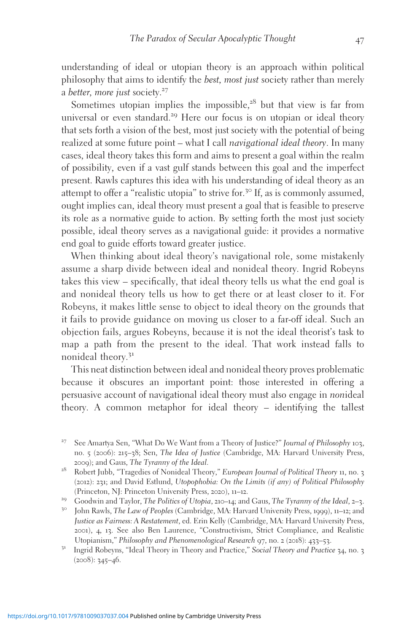understanding of ideal or utopian theory is an approach within political philosophy that aims to identify the *best, most just* society rather than merely a better, more just society. $27$ 

Sometimes utopian implies the impossible, $28$  but that view is far from universal or even standard.<sup>29</sup> Here our focus is on utopian or ideal theory that sets forth a vision of the best, most just society with the potential of being realized at some future point – what I call navigational ideal theory. In many cases, ideal theory takes this form and aims to present a goal within the realm of possibility, even if a vast gulf stands between this goal and the imperfect present. Rawls captures this idea with his understanding of ideal theory as an attempt to offer a "realistic utopia" to strive for.<sup>30</sup> If, as is commonly assumed, ought implies can, ideal theory must present a goal that is feasible to preserve its role as a normative guide to action. By setting forth the most just society possible, ideal theory serves as a navigational guide: it provides a normative end goal to guide efforts toward greater justice.

When thinking about ideal theory's navigational role, some mistakenly assume a sharp divide between ideal and nonideal theory. Ingrid Robeyns takes this view – specifically, that ideal theory tells us what the end goal is and nonideal theory tells us how to get there or at least closer to it. For Robeyns, it makes little sense to object to ideal theory on the grounds that it fails to provide guidance on moving us closer to a far-off ideal. Such an objection fails, argues Robeyns, because it is not the ideal theorist's task to map a path from the present to the ideal. That work instead falls to nonideal theory.<sup>31</sup>

This neat distinction between ideal and nonideal theory proves problematic because it obscures an important point: those interested in offering a persuasive account of navigational ideal theory must also engage in nonideal theory. A common metaphor for ideal theory – identifying the tallest

<sup>&</sup>lt;sup>27</sup> See Amartya Sen, "What Do We Want from a Theory of Justice?" Journal of Philosophy 103, no. 5 (2006): 215–38; Sen, *The Idea of Justice* (Cambridge, MA: Harvard University Press, 2009); and Gaus, *The Tyranny of the Ideal*.

<sup>&</sup>lt;sup>28</sup> Robert Jubb, "Tragedies of Nonideal Theory," European Journal of Political Theory 11, no. 3 (2012): 231; and David Estlund, Utopophobia: On the Limits (if any) of Political Philosophy (Princeton, NJ: Princeton University Press, 2020), 11–12.

<sup>&</sup>lt;sup>29</sup> Goodwin and Taylor, *The Politics of Utopia*, 210–14; and Gaus, *The Tyranny of the Ideal*, 2–3.<br><sup>30</sup> John Rawls, *The Law of Peoples* (Cambridge, MA: Harvard University Press, 1999), 11–12; and Justice as Fairness: A Restatement, ed. Erin Kelly (Cambridge, MA: Harvard University Press, 2001), 4, 13. See also Ben Laurence, "Constructivism, Strict Compliance, and Realistic Utopianism," Philosophy and Phenomenological Research 97, no. 2 (2018): 433–53.<br><sup>31</sup> Ingrid Robeyns, "Ideal Theory in Theory and Practice," Social Theory and Practice 34, no. 3

 $(2008): 345 - 46.$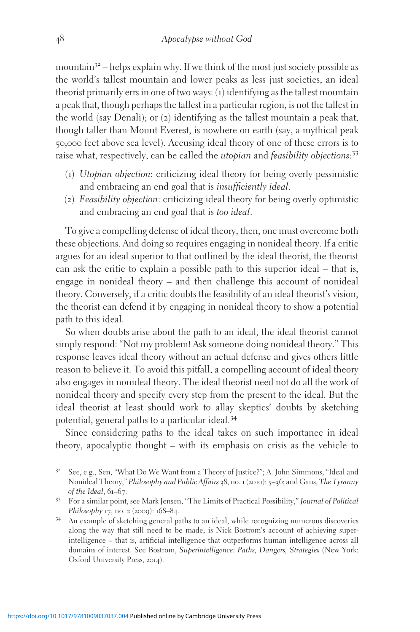mountain $3^2$  – helps explain why. If we think of the most just society possible as the world's tallest mountain and lower peaks as less just societies, an ideal theorist primarily errs in one of two ways: (1) identifying as the tallest mountain a peak that, though perhaps the tallest in a particular region, is not the tallest in the world (say Denali); or (2) identifying as the tallest mountain a peak that, though taller than Mount Everest, is nowhere on earth (say, a mythical peak 50,000 feet above sea level). Accusing ideal theory of one of these errors is to raise what, respectively, can be called the *utopian* and *feasibility objections*:<sup>33</sup>

- (1) Utopian objection: criticizing ideal theory for being overly pessimistic and embracing an end goal that is insufficiently ideal.
- (2) Feasibility objection: criticizing ideal theory for being overly optimistic and embracing an end goal that is too ideal.

To give a compelling defense of ideal theory, then, one must overcome both these objections. And doing so requires engaging in nonideal theory. If a critic argues for an ideal superior to that outlined by the ideal theorist, the theorist can ask the critic to explain a possible path to this superior ideal – that is, engage in nonideal theory – and then challenge this account of nonideal theory. Conversely, if a critic doubts the feasibility of an ideal theorist's vision, the theorist can defend it by engaging in nonideal theory to show a potential path to this ideal.

So when doubts arise about the path to an ideal, the ideal theorist cannot simply respond: "Not my problem! Ask someone doing nonideal theory." This response leaves ideal theory without an actual defense and gives others little reason to believe it. To avoid this pitfall, a compelling account of ideal theory also engages in nonideal theory. The ideal theorist need not do all the work of nonideal theory and specify every step from the present to the ideal. But the ideal theorist at least should work to allay skeptics' doubts by sketching potential, general paths to a particular ideal.<sup>34</sup>

Since considering paths to the ideal takes on such importance in ideal theory, apocalyptic thought – with its emphasis on crisis as the vehicle to

<sup>33</sup> For a similar point, see Mark Jensen, "The Limits of Practical Possibility," Journal of Political Philosophy <sup>17</sup>, no. <sup>2</sup> (2009): <sup>168</sup>–84. <sup>34</sup> An example of sketching general paths to an ideal, while recognizing numerous discoveries

along the way that still need to be made, is Nick Bostrom's account of achieving superintelligence – that is, artificial intelligence that outperforms human intelligence across all domains of interest. See Bostrom, Superintelligence: Paths, Dangers, Strategies (New York: Oxford University Press, 2014).

See, e.g., Sen, "What Do We Want from a Theory of Justice?"; A. John Simmons, "Ideal and Nonideal Theory," Philosophy and Public Affairs 38, no. 1 (2010): 5–36; and Gaus, The Tyranny of the Ideal, 61–67.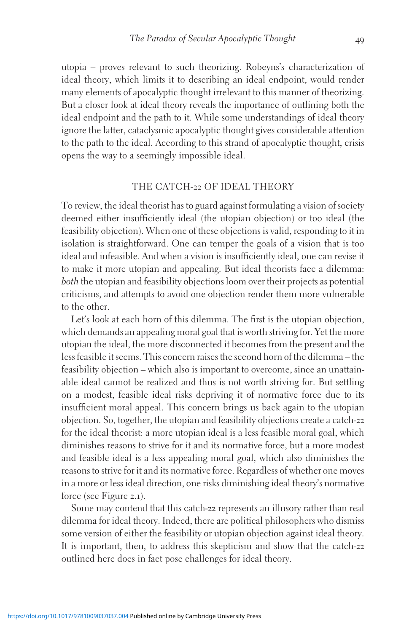utopia – proves relevant to such theorizing. Robeyns's characterization of ideal theory, which limits it to describing an ideal endpoint, would render many elements of apocalyptic thought irrelevant to this manner of theorizing. But a closer look at ideal theory reveals the importance of outlining both the ideal endpoint and the path to it. While some understandings of ideal theory ignore the latter, cataclysmic apocalyptic thought gives considerable attention to the path to the ideal. According to this strand of apocalyptic thought, crisis opens the way to a seemingly impossible ideal.

## THE CATCH-22 OF IDEAL THEORY

To review, the ideal theorist has to guard against formulating a vision of society deemed either insufficiently ideal (the utopian objection) or too ideal (the feasibility objection). When one of these objections is valid, responding to it in isolation is straightforward. One can temper the goals of a vision that is too ideal and infeasible. And when a vision is insufficiently ideal, one can revise it to make it more utopian and appealing. But ideal theorists face a dilemma: both the utopian and feasibility objections loom over their projects as potential criticisms, and attempts to avoid one objection render them more vulnerable to the other.

Let's look at each horn of this dilemma. The first is the utopian objection, which demands an appealing moral goal that is worth striving for. Yet the more utopian the ideal, the more disconnected it becomes from the present and the less feasible it seems. This concern raises the second horn of the dilemma – the feasibility objection – which also is important to overcome, since an unattainable ideal cannot be realized and thus is not worth striving for. But settling on a modest, feasible ideal risks depriving it of normative force due to its insufficient moral appeal. This concern brings us back again to the utopian objection. So, together, the utopian and feasibility objections create a catch-22 for the ideal theorist: a more utopian ideal is a less feasible moral goal, which diminishes reasons to strive for it and its normative force, but a more modest and feasible ideal is a less appealing moral goal, which also diminishes the reasons to strive for it and its normative force. Regardless of whether one moves in a more or less ideal direction, one risks diminishing ideal theory's normative force (see Figure 2.1).

Some may contend that this catch-22 represents an illusory rather than real dilemma for ideal theory. Indeed, there are political philosophers who dismiss some version of either the feasibility or utopian objection against ideal theory. It is important, then, to address this skepticism and show that the catch-22 outlined here does in fact pose challenges for ideal theory.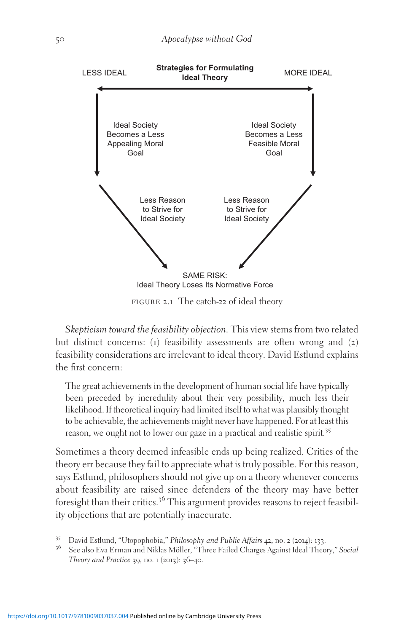

figure 2.1 The catch-22 of ideal theory

Skepticism toward the feasibility objection. This view stems from two related but distinct concerns: (1) feasibility assessments are often wrong and (2) feasibility considerations are irrelevant to ideal theory. David Estlund explains the first concern:

The great achievements in the development of human social life have typically been preceded by incredulity about their very possibility, much less their likelihood. If theoretical inquiry had limited itself to what was plausibly thought to be achievable, the achievements might never have happened. For at least this reason, we ought not to lower our gaze in a practical and realistic spirit.<sup>35</sup>

Sometimes a theory deemed infeasible ends up being realized. Critics of the theory err because they fail to appreciate what is truly possible. For this reason, says Estlund, philosophers should not give up on a theory whenever concerns about feasibility are raised since defenders of the theory may have better foresight than their critics.<sup>36</sup> This argument provides reasons to reject feasibility objections that are potentially inaccurate.

<sup>&</sup>lt;sup>35</sup> David Estlund, "Utopophobia," Philosophy and Public Affairs 42, no. 2 (2014): 133.<br><sup>36</sup> See also Eva Erman and Niklas Möller, "Three Failed Charges Against Ideal Theory," Social Theory and Practice 39, no. 1 (2013): 36–40.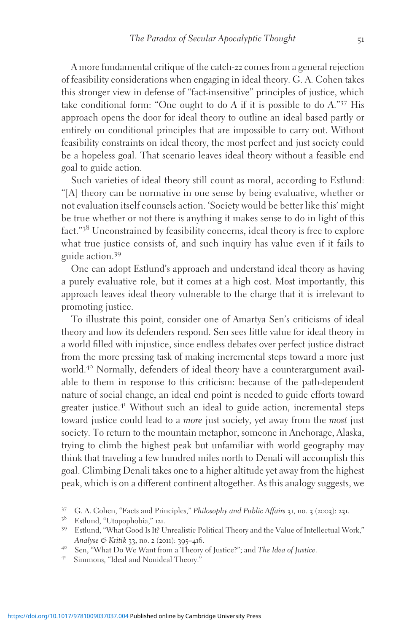A more fundamental critique of the catch-22 comes from a general rejection of feasibility considerations when engaging in ideal theory. G. A. Cohen takes this stronger view in defense of "fact-insensitive" principles of justice, which take conditional form: "One ought to do <sup>A</sup> if it is possible to do <sup>A</sup>."<sup>37</sup> His approach opens the door for ideal theory to outline an ideal based partly or entirely on conditional principles that are impossible to carry out. Without feasibility constraints on ideal theory, the most perfect and just society could be a hopeless goal. That scenario leaves ideal theory without a feasible end goal to guide action.

Such varieties of ideal theory still count as moral, according to Estlund: "[A] theory can be normative in one sense by being evaluative, whether or not evaluation itself counsels action. 'Society would be better like this' might be true whether or not there is anything it makes sense to do in light of this fact."<sup>38</sup> Unconstrained by feasibility concerns, ideal theory is free to explore what true justice consists of, and such inquiry has value even if it fails to guide action.<sup>39</sup>

One can adopt Estlund's approach and understand ideal theory as having a purely evaluative role, but it comes at a high cost. Most importantly, this approach leaves ideal theory vulnerable to the charge that it is irrelevant to promoting justice.

To illustrate this point, consider one of Amartya Sen's criticisms of ideal theory and how its defenders respond. Sen sees little value for ideal theory in a world filled with injustice, since endless debates over perfect justice distract from the more pressing task of making incremental steps toward a more just world.<sup>40</sup> Normally, defenders of ideal theory have a counterargument available to them in response to this criticism: because of the path-dependent nature of social change, an ideal end point is needed to guide efforts toward greater justice.<sup>41</sup> Without such an ideal to guide action, incremental steps toward justice could lead to a *more* just society, yet away from the *most* just society. To return to the mountain metaphor, someone in Anchorage, Alaska, trying to climb the highest peak but unfamiliar with world geography may think that traveling a few hundred miles north to Denali will accomplish this goal. Climbing Denali takes one to a higher altitude yet away from the highest peak, which is on a different continent altogether. As this analogy suggests, we

<sup>&</sup>lt;sup>37</sup> G. A. Cohen, "Facts and Principles," *Philosophy and Public Affairs* 31, no. 3 (2003): 231.<br><sup>38</sup> Estlund, "Utopophobia," 121.<br><sup>39</sup> Estlund, "What Good Is It? Unrealistic Political Theory and the Value of Intellectual

Analyse & Kritik 33, no. 2 (2011): 395–416.<br>
<sup>40</sup> Sen, "What Do We Want from a Theory of Justice?"; and The Idea of Justice.<br>
<sup>41</sup> Simmons, "Ideal and Nonideal Theory."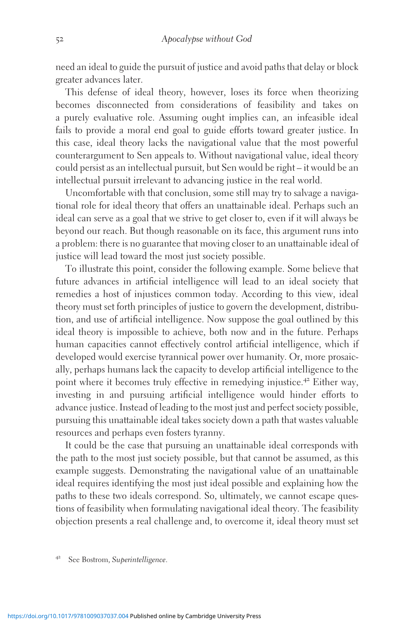need an ideal to guide the pursuit of justice and avoid paths that delay or block greater advances later.

This defense of ideal theory, however, loses its force when theorizing becomes disconnected from considerations of feasibility and takes on a purely evaluative role. Assuming ought implies can, an infeasible ideal fails to provide a moral end goal to guide efforts toward greater justice. In this case, ideal theory lacks the navigational value that the most powerful counterargument to Sen appeals to. Without navigational value, ideal theory could persist as an intellectual pursuit, but Sen would be right – it would be an intellectual pursuit irrelevant to advancing justice in the real world.

Uncomfortable with that conclusion, some still may try to salvage a navigational role for ideal theory that offers an unattainable ideal. Perhaps such an ideal can serve as a goal that we strive to get closer to, even if it will always be beyond our reach. But though reasonable on its face, this argument runs into a problem: there is no guarantee that moving closer to an unattainable ideal of justice will lead toward the most just society possible.

To illustrate this point, consider the following example. Some believe that future advances in artificial intelligence will lead to an ideal society that remedies a host of injustices common today. According to this view, ideal theory must set forth principles of justice to govern the development, distribution, and use of artificial intelligence. Now suppose the goal outlined by this ideal theory is impossible to achieve, both now and in the future. Perhaps human capacities cannot effectively control artificial intelligence, which if developed would exercise tyrannical power over humanity. Or, more prosaically, perhaps humans lack the capacity to develop artificial intelligence to the point where it becomes truly effective in remedying injustice.<sup>42</sup> Either way, investing in and pursuing artificial intelligence would hinder efforts to advance justice. Instead of leading to the most just and perfect society possible, pursuing this unattainable ideal takes society down a path that wastes valuable resources and perhaps even fosters tyranny.

It could be the case that pursuing an unattainable ideal corresponds with the path to the most just society possible, but that cannot be assumed, as this example suggests. Demonstrating the navigational value of an unattainable ideal requires identifying the most just ideal possible and explaining how the paths to these two ideals correspond. So, ultimately, we cannot escape questions of feasibility when formulating navigational ideal theory. The feasibility objection presents a real challenge and, to overcome it, ideal theory must set

See Bostrom, Superintelligence.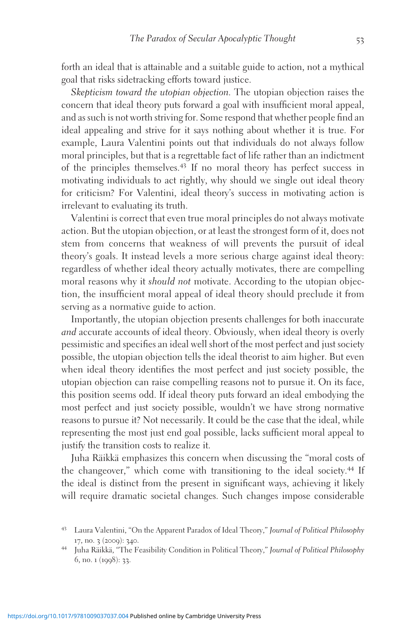forth an ideal that is attainable and a suitable guide to action, not a mythical goal that risks sidetracking efforts toward justice.

Skepticism toward the utopian objection. The utopian objection raises the concern that ideal theory puts forward a goal with insufficient moral appeal, and as such is not worth striving for. Some respond that whether people find an ideal appealing and strive for it says nothing about whether it is true. For example, Laura Valentini points out that individuals do not always follow moral principles, but that is a regrettable fact of life rather than an indictment of the principles themselves.<sup>43</sup> If no moral theory has perfect success in motivating individuals to act rightly, why should we single out ideal theory for criticism? For Valentini, ideal theory's success in motivating action is irrelevant to evaluating its truth.

Valentini is correct that even true moral principles do not always motivate action. But the utopian objection, or at least the strongest form of it, does not stem from concerns that weakness of will prevents the pursuit of ideal theory's goals. It instead levels a more serious charge against ideal theory: regardless of whether ideal theory actually motivates, there are compelling moral reasons why it should not motivate. According to the utopian objection, the insufficient moral appeal of ideal theory should preclude it from serving as a normative guide to action.

Importantly, the utopian objection presents challenges for both inaccurate and accurate accounts of ideal theory. Obviously, when ideal theory is overly pessimistic and specifies an ideal well short of the most perfect and just society possible, the utopian objection tells the ideal theorist to aim higher. But even when ideal theory identifies the most perfect and just society possible, the utopian objection can raise compelling reasons not to pursue it. On its face, this position seems odd. If ideal theory puts forward an ideal embodying the most perfect and just society possible, wouldn't we have strong normative reasons to pursue it? Not necessarily. It could be the case that the ideal, while representing the most just end goal possible, lacks sufficient moral appeal to justify the transition costs to realize it.

Juha Ra¨ikka¨ emphasizes this concern when discussing the "moral costs of the changeover," which come with transitioning to the ideal society.<sup>44</sup> If the ideal is distinct from the present in significant ways, achieving it likely will require dramatic societal changes. Such changes impose considerable

<sup>43</sup> Laura Valentini, "On the Apparent Paradox of Ideal Theory," Journal of Political Philosophy 17, no. 3 (2009): 340.<br><sup>44</sup> Juha Räikkä, "The Feasibility Condition in Political Theory," Journal of Political Philosophy

<sup>6</sup>, no. 1 (1998): 33.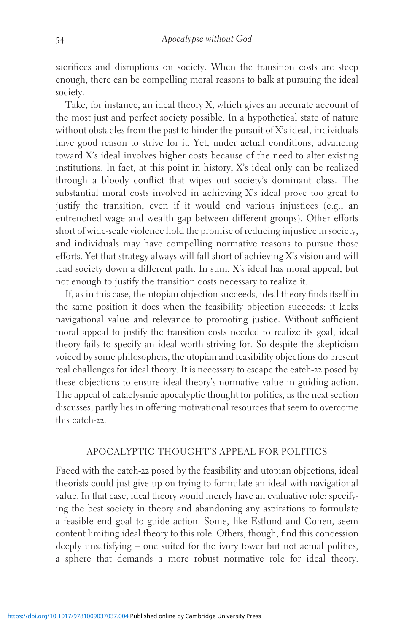sacrifices and disruptions on society. When the transition costs are steep enough, there can be compelling moral reasons to balk at pursuing the ideal society.

Take, for instance, an ideal theory X, which gives an accurate account of the most just and perfect society possible. In a hypothetical state of nature without obstacles from the past to hinder the pursuit of  $X$ 's ideal, individuals have good reason to strive for it. Yet, under actual conditions, advancing toward X's ideal involves higher costs because of the need to alter existing institutions. In fact, at this point in history, X's ideal only can be realized through a bloody conflict that wipes out society's dominant class. The substantial moral costs involved in achieving X's ideal prove too great to justify the transition, even if it would end various injustices (e.g., an entrenched wage and wealth gap between different groups). Other efforts short of wide-scale violence hold the promise of reducing injustice in society, and individuals may have compelling normative reasons to pursue those efforts. Yet that strategy always will fall short of achieving X's vision and will lead society down a different path. In sum, X's ideal has moral appeal, but not enough to justify the transition costs necessary to realize it.

If, as in this case, the utopian objection succeeds, ideal theory finds itself in the same position it does when the feasibility objection succeeds: it lacks navigational value and relevance to promoting justice. Without sufficient moral appeal to justify the transition costs needed to realize its goal, ideal theory fails to specify an ideal worth striving for. So despite the skepticism voiced by some philosophers, the utopian and feasibility objections do present real challenges for ideal theory. It is necessary to escape the catch-22 posed by these objections to ensure ideal theory's normative value in guiding action. The appeal of cataclysmic apocalyptic thought for politics, as the next section discusses, partly lies in offering motivational resources that seem to overcome this catch-22.

## APOCALYPTIC THOUGHT'S APPEAL FOR POLITICS

Faced with the catch-22 posed by the feasibility and utopian objections, ideal theorists could just give up on trying to formulate an ideal with navigational value. In that case, ideal theory would merely have an evaluative role: specifying the best society in theory and abandoning any aspirations to formulate a feasible end goal to guide action. Some, like Estlund and Cohen, seem content limiting ideal theory to this role. Others, though, find this concession deeply unsatisfying – one suited for the ivory tower but not actual politics, a sphere that demands a more robust normative role for ideal theory.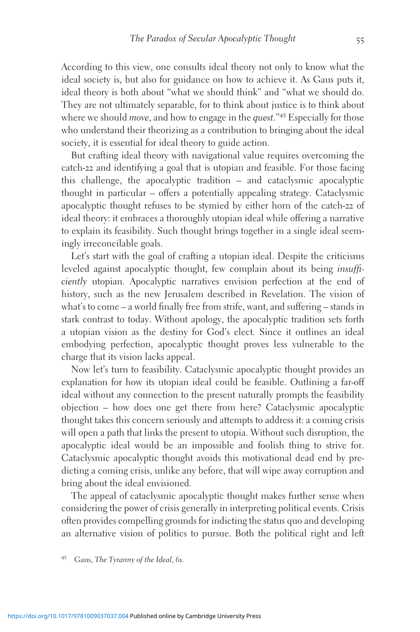According to this view, one consults ideal theory not only to know what the ideal society is, but also for guidance on how to achieve it. As Gaus puts it, ideal theory is both about "what we should think" and "what we should do. They are not ultimately separable, for to think about justice is to think about where we should *move*, and how to engage in the *quest*."<sup>45</sup> Especially for those who understand their theorizing as a contribution to bringing about the ideal society, it is essential for ideal theory to guide action.

But crafting ideal theory with navigational value requires overcoming the catch-22 and identifying a goal that is utopian and feasible. For those facing this challenge, the apocalyptic tradition – and cataclysmic apocalyptic thought in particular – offers a potentially appealing strategy. Cataclysmic apocalyptic thought refuses to be stymied by either horn of the catch-22 of ideal theory: it embraces a thoroughly utopian ideal while offering a narrative to explain its feasibility. Such thought brings together in a single ideal seemingly irreconcilable goals.

Let's start with the goal of crafting a utopian ideal. Despite the criticisms leveled against apocalyptic thought, few complain about its being insufficiently utopian. Apocalyptic narratives envision perfection at the end of history, such as the new Jerusalem described in Revelation. The vision of what's to come – a world finally free from strife, want, and suffering – stands in stark contrast to today. Without apology, the apocalyptic tradition sets forth a utopian vision as the destiny for God's elect. Since it outlines an ideal embodying perfection, apocalyptic thought proves less vulnerable to the charge that its vision lacks appeal.

Now let's turn to feasibility. Cataclysmic apocalyptic thought provides an explanation for how its utopian ideal could be feasible. Outlining a far-off ideal without any connection to the present naturally prompts the feasibility objection – how does one get there from here? Cataclysmic apocalyptic thought takes this concern seriously and attempts to address it: a coming crisis will open a path that links the present to utopia. Without such disruption, the apocalyptic ideal would be an impossible and foolish thing to strive for. Cataclysmic apocalyptic thought avoids this motivational dead end by predicting a coming crisis, unlike any before, that will wipe away corruption and bring about the ideal envisioned.

The appeal of cataclysmic apocalyptic thought makes further sense when considering the power of crisis generally in interpreting political events. Crisis often provides compelling grounds for indicting the status quo and developing an alternative vision of politics to pursue. Both the political right and left

Gaus, The Tyranny of the Ideal, 61.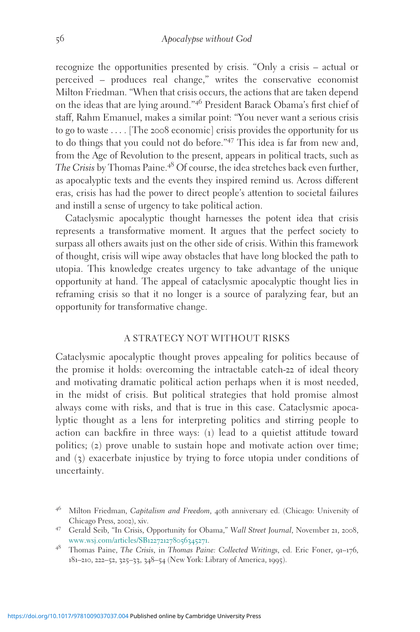recognize the opportunities presented by crisis. "Only a crisis – actual or perceived – produces real change," writes the conservative economist Milton Friedman. "When that crisis occurs, the actions that are taken depend on the ideas that are lying around."<sup>46</sup> President Barack Obama's first chief of staff, Rahm Emanuel, makes a similar point: "You never want a serious crisis to go to waste ... . [The 2008 economic] crisis provides the opportunity for us to do things that you could not do before."<sup>47</sup> This idea is far from new and, from the Age of Revolution to the present, appears in political tracts, such as The Crisis by Thomas Paine.<sup>48</sup> Of course, the idea stretches back even further, as apocalyptic texts and the events they inspired remind us. Across different eras, crisis has had the power to direct people's attention to societal failures and instill a sense of urgency to take political action.

Cataclysmic apocalyptic thought harnesses the potent idea that crisis represents a transformative moment. It argues that the perfect society to surpass all others awaits just on the other side of crisis. Within this framework of thought, crisis will wipe away obstacles that have long blocked the path to utopia. This knowledge creates urgency to take advantage of the unique opportunity at hand. The appeal of cataclysmic apocalyptic thought lies in reframing crisis so that it no longer is a source of paralyzing fear, but an opportunity for transformative change.

#### A STRATEGY NOT WITHOUT RISKS

Cataclysmic apocalyptic thought proves appealing for politics because of the promise it holds: overcoming the intractable catch-22 of ideal theory and motivating dramatic political action perhaps when it is most needed, in the midst of crisis. But political strategies that hold promise almost always come with risks, and that is true in this case. Cataclysmic apocalyptic thought as a lens for interpreting politics and stirring people to action can backfire in three ways: (1) lead to a quietist attitude toward politics; (2) prove unable to sustain hope and motivate action over time; and (3) exacerbate injustice by trying to force utopia under conditions of uncertainty.

<sup>&</sup>lt;sup>46</sup> Milton Friedman, Capitalism and Freedom, 40th anniversary ed. (Chicago: University of Chicago Press, <sup>2002</sup>), xiv. <sup>47</sup> Gerald Seib, "In Crisis, Opportunity for Obama," Wall Street Journal, November <sup>21</sup>, <sup>2008</sup>,

[www.wsj.com/articles/SB](http://www.wsj.com/articles/SB122721278056345271)122721278056345271. <sup>48</sup> Thomas Paine, The Crisis, in Thomas Paine: Collected Writings, ed. Eric Foner, <sup>91</sup>–176,

<sup>181</sup>–210, 222–52, 325–33, 348–54 (New York: Library of America, 1995).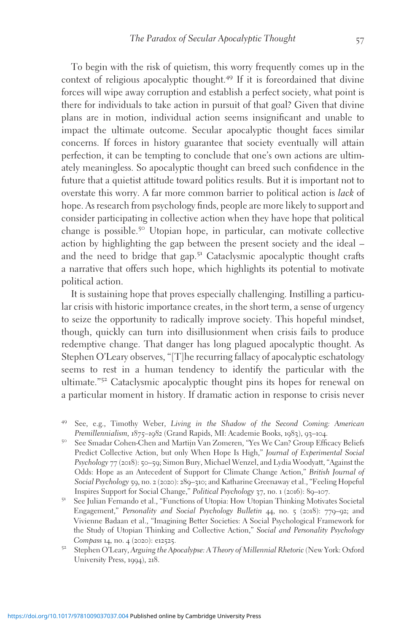To begin with the risk of quietism, this worry frequently comes up in the context of religious apocalyptic thought.<sup>49</sup> If it is foreordained that divine forces will wipe away corruption and establish a perfect society, what point is there for individuals to take action in pursuit of that goal? Given that divine plans are in motion, individual action seems insignificant and unable to impact the ultimate outcome. Secular apocalyptic thought faces similar concerns. If forces in history guarantee that society eventually will attain perfection, it can be tempting to conclude that one's own actions are ultimately meaningless. So apocalyptic thought can breed such confidence in the future that a quietist attitude toward politics results. But it is important not to overstate this worry. A far more common barrier to political action is lack of hope. As research from psychology finds, people are more likely to support and consider participating in collective action when they have hope that political change is possible.<sup>50</sup> Utopian hope, in particular, can motivate collective action by highlighting the gap between the present society and the ideal – and the need to bridge that gap.<sup>51</sup> Cataclysmic apocalyptic thought crafts a narrative that offers such hope, which highlights its potential to motivate political action.

It is sustaining hope that proves especially challenging. Instilling a particular crisis with historic importance creates, in the short term, a sense of urgency to seize the opportunity to radically improve society. This hopeful mindset, though, quickly can turn into disillusionment when crisis fails to produce redemptive change. That danger has long plagued apocalyptic thought. As Stephen O'Leary observes, "[T]he recurring fallacy of apocalyptic eschatology seems to rest in a human tendency to identify the particular with the ultimate."<sup>52</sup> Cataclysmic apocalyptic thought pins its hopes for renewal on a particular moment in history. If dramatic action in response to crisis never

- <sup>49</sup> See, e.g., Timothy Weber, *Living in the Shadow of the Second Coming: American Premillennialism,*  $1875-1082$  (Grand Rapids, MI: Academie Books,  $1083$ ),  $93-104$ .
- <sup>50</sup> See Smadar Cohen-Chen and Martijn Van Zomeren, "Yes We Can? Group Efficacy Beliefs Predict Collective Action, but only When Hope Is High," Journal of Experimental Social Psychology 77 (2018): 50–59; Simon Bury, Michael Wenzel, and Lydia Woodyatt, "Against the Odds: Hope as an Antecedent of Support for Climate Change Action," British Journal of Social Psychology 59, no. 2 (2020): 289–310; and Katharine Greenaway et al., "Feeling Hopeful Inspires Support for Social Change," Political Psychology 37, no. 1 (2016): 89–107.
- <sup>51</sup> See Julian Fernando et al., "Functions of Utopia: How Utopian Thinking Motivates Societal Engagement," Personality and Social Psychology Bulletin 44, no. 5 (2018): 779–92; and Vivienne Badaan et al., "Imagining Better Societies: A Social Psychological Framework for the Study of Utopian Thinking and Collective Action," Social and Personality Psychology
- Compass <sup>14</sup>, no. <sup>4</sup> (2020): e12525. <sup>52</sup> Stephen O'Leary, Arguing the Apocalypse: A Theory of Millennial Rhetoric (New York: Oxford University Press, 1994), 218.